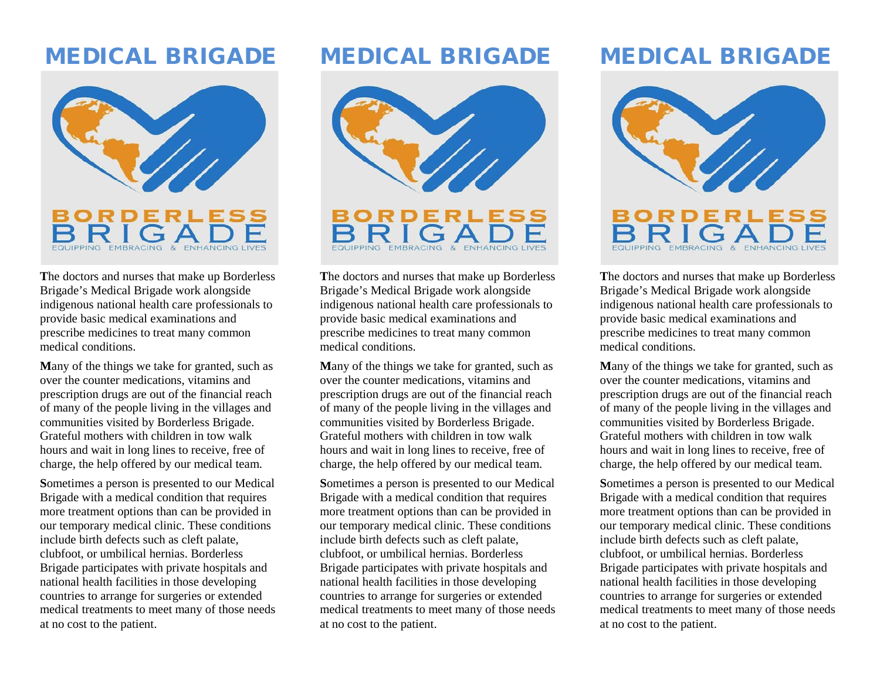## MEDICAL BRIGADE



**T**he doctors and nurses that make up Borderless Brigade's Medical Brigade work alongside indigenous national health care professionals to provide basic medical examinations and prescribe medicines to treat many common medical conditions.

**M**any of the things we take for granted, such as over the counter medications, vitamins and prescription drugs are out of the financial reach of many of the people living in the villages and communities visited by Borderless Brigade. Grateful mothers with children in tow walk hours and wait in long lines to receive, free of charge, the help offered by our medical team.

**S**ometimes a person is presented to our Medical Brigade with a medical condition that requires more treatment options than can be provided in our temporary medical clinic. These conditions include birth defects such as cleft palate, clubfoot, or umbilical hernias. Borderless Brigade participates with private hospitals and national health facilities in those developing countries to arrange for surgeries or extended medical treatments to meet many of those needs at no cost to the patient.

## MEDICAL BRIGADE



**T**he doctors and nurses that make up Borderless Brigade's Medical Brigade work alongside indigenous national health care professionals to provide basic medical examinations and prescribe medicines to treat many common medical conditions.

**M**any of the things we take for granted, such as over the counter medications, vitamins and prescription drugs are out of the financial reach of many of the people living in the villages and communities visited by Borderless Brigade. Grateful mothers with children in tow walk hours and wait in long lines to receive, free of charge, the help offered by our medical team.

**S**ometimes a person is presented to our Medical Brigade with a medical condition that requires more treatment options than can be provided in our temporary medical clinic. These conditions include birth defects such as cleft palate, clubfoot, or umbilical hernias. Borderless Brigade participates with private hospitals and national health facilities in those developing countries to arrange for surgeries or extended medical treatments to meet many of those needs at no cost to the patient.

# MEDICAL BRIGADE



**T**he doctors and nurses that make up Borderless Brigade's Medical Brigade work alongside indigenous national health care professionals to provide basic medical examinations and prescribe medicines to treat many common medical conditions.

**M**any of the things we take for granted, such as over the counter medications, vitamins and prescription drugs are out of the financial reach of many of the people living in the villages and communities visited by Borderless Brigade. Grateful mothers with children in tow walk hours and wait in long lines to receive, free of charge, the help offered by our medical team.

**S**ometimes a person is presented to our Medical Brigade with a medical condition that requires more treatment options than can be provided in our temporary medical clinic. These conditions include birth defects such as cleft palate, clubfoot, or umbilical hernias. Borderless Brigade participates with private hospitals and national health facilities in those developing countries to arrange for surgeries or extended medical treatments to meet many of those needs at no cost to the patient.